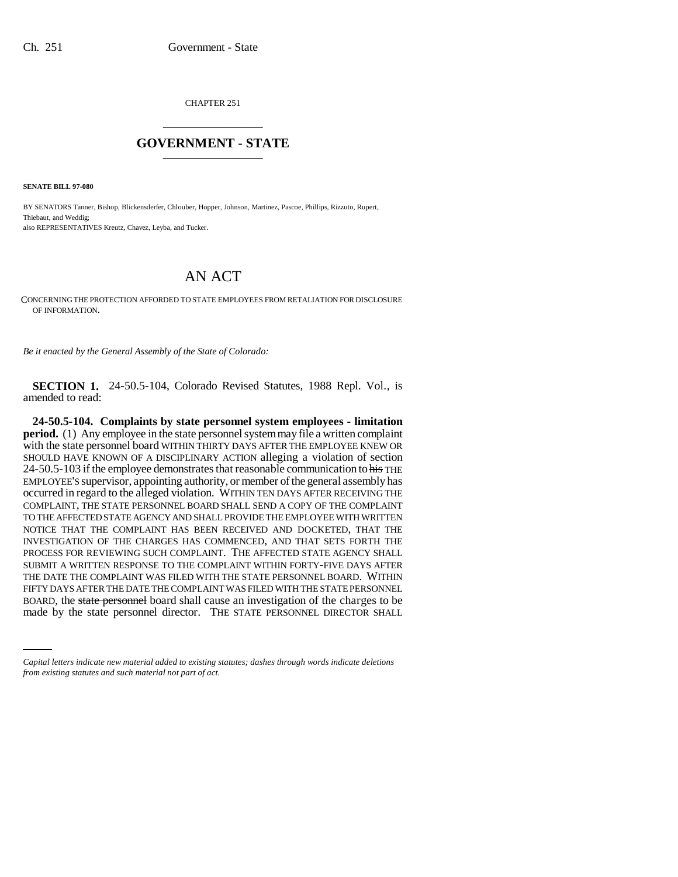CHAPTER 251 \_\_\_\_\_\_\_\_\_\_\_\_\_\_\_

## **GOVERNMENT - STATE** \_\_\_\_\_\_\_\_\_\_\_\_\_\_\_

**SENATE BILL 97-080**

BY SENATORS Tanner, Bishop, Blickensderfer, Chlouber, Hopper, Johnson, Martinez, Pascoe, Phillips, Rizzuto, Rupert, Thiebaut, and Weddig; also REPRESENTATIVES Kreutz, Chavez, Leyba, and Tucker.

## AN ACT

CONCERNING THE PROTECTION AFFORDED TO STATE EMPLOYEES FROM RETALIATION FOR DISCLOSURE OF INFORMATION.

*Be it enacted by the General Assembly of the State of Colorado:*

**SECTION 1.** 24-50.5-104, Colorado Revised Statutes, 1988 Repl. Vol., is amended to read:

FIFTY DAYS AFTER THE DATE THE COMPLAINT WAS FILED WITH THE STATE PERSONNEL<br>ROADD, the state personnel hand shall assess an investigation of the shapes to ha **24-50.5-104. Complaints by state personnel system employees - limitation period.** (1) Any employee in the state personnel system may file a written complaint with the state personnel board WITHIN THIRTY DAYS AFTER THE EMPLOYEE KNEW OR SHOULD HAVE KNOWN OF A DISCIPLINARY ACTION alleging a violation of section 24-50.5-103 if the employee demonstrates that reasonable communication to his THE EMPLOYEE'S supervisor, appointing authority, or member of the general assembly has occurred in regard to the alleged violation. WITHIN TEN DAYS AFTER RECEIVING THE COMPLAINT, THE STATE PERSONNEL BOARD SHALL SEND A COPY OF THE COMPLAINT TO THE AFFECTED STATE AGENCY AND SHALL PROVIDE THE EMPLOYEE WITH WRITTEN NOTICE THAT THE COMPLAINT HAS BEEN RECEIVED AND DOCKETED, THAT THE INVESTIGATION OF THE CHARGES HAS COMMENCED, AND THAT SETS FORTH THE PROCESS FOR REVIEWING SUCH COMPLAINT. THE AFFECTED STATE AGENCY SHALL SUBMIT A WRITTEN RESPONSE TO THE COMPLAINT WITHIN FORTY-FIVE DAYS AFTER THE DATE THE COMPLAINT WAS FILED WITH THE STATE PERSONNEL BOARD. WITHIN BOARD, the state personnel board shall cause an investigation of the charges to be made by the state personnel director. THE STATE PERSONNEL DIRECTOR SHALL

*Capital letters indicate new material added to existing statutes; dashes through words indicate deletions from existing statutes and such material not part of act.*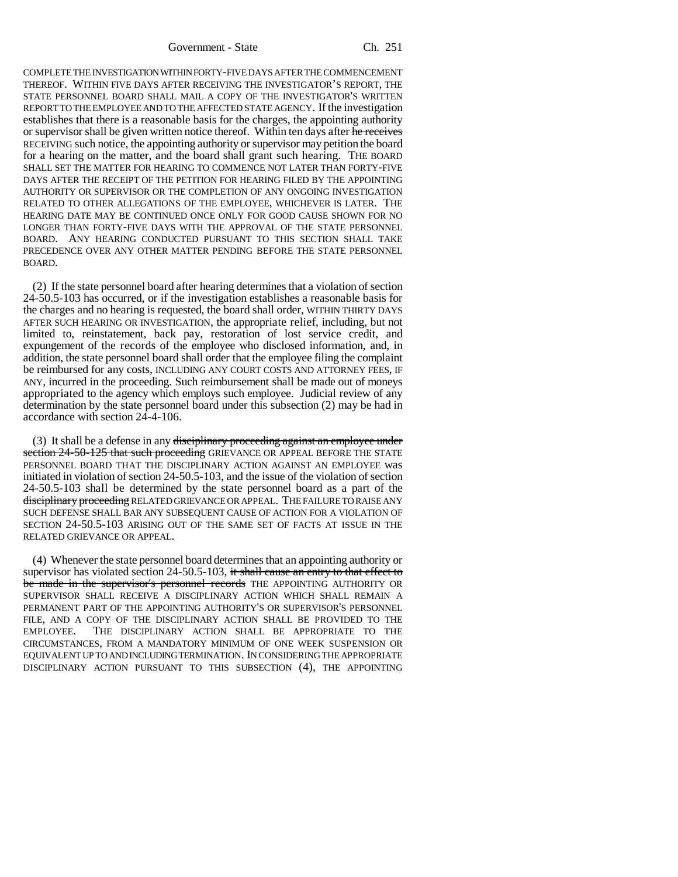Government - State Ch. 251

COMPLETE THE INVESTIGATION WITHIN FORTY-FIVE DAYS AFTER THE COMMENCEMENT THEREOF. WITHIN FIVE DAYS AFTER RECEIVING THE INVESTIGATOR'S REPORT, THE STATE PERSONNEL BOARD SHALL MAIL A COPY OF THE INVESTIGATOR'S WRITTEN REPORT TO THE EMPLOYEE AND TO THE AFFECTED STATE AGENCY. If the investigation establishes that there is a reasonable basis for the charges, the appointing authority or supervisor shall be given written notice thereof. Within ten days after he receives RECEIVING such notice, the appointing authority or supervisor may petition the board for a hearing on the matter, and the board shall grant such hearing. THE BOARD SHALL SET THE MATTER FOR HEARING TO COMMENCE NOT LATER THAN FORTY-FIVE DAYS AFTER THE RECEIPT OF THE PETITION FOR HEARING FILED BY THE APPOINTING AUTHORITY OR SUPERVISOR OR THE COMPLETION OF ANY ONGOING INVESTIGATION RELATED TO OTHER ALLEGATIONS OF THE EMPLOYEE, WHICHEVER IS LATER. THE HEARING DATE MAY BE CONTINUED ONCE ONLY FOR GOOD CAUSE SHOWN FOR NO LONGER THAN FORTY-FIVE DAYS WITH THE APPROVAL OF THE STATE PERSONNEL BOARD. ANY HEARING CONDUCTED PURSUANT TO THIS SECTION SHALL TAKE PRECEDENCE OVER ANY OTHER MATTER PENDING BEFORE THE STATE PERSONNEL BOARD.

(2) If the state personnel board after hearing determines that a violation of section 24-50.5-103 has occurred, or if the investigation establishes a reasonable basis for the charges and no hearing is requested, the board shall order, WITHIN THIRTY DAYS AFTER SUCH HEARING OR INVESTIGATION, the appropriate relief, including, but not limited to, reinstatement, back pay, restoration of lost service credit, and expungement of the records of the employee who disclosed information, and, in addition, the state personnel board shall order that the employee filing the complaint be reimbursed for any costs, INCLUDING ANY COURT COSTS AND ATTORNEY FEES, IF ANY, incurred in the proceeding. Such reimbursement shall be made out of moneys appropriated to the agency which employs such employee. Judicial review of any determination by the state personnel board under this subsection (2) may be had in accordance with section 24-4-106.

(3) It shall be a defense in any <del>disciplinary proceeding against an employee under</del> section 24-50-125 that such proceeding GRIEVANCE OR APPEAL BEFORE THE STATE PERSONNEL BOARD THAT THE DISCIPLINARY ACTION AGAINST AN EMPLOYEE was initiated in violation of section 24-50.5-103, and the issue of the violation of section 24-50.5-103 shall be determined by the state personnel board as a part of the disciplinary proceeding RELATED GRIEVANCE OR APPEAL. THE FAILURE TO RAISE ANY SUCH DEFENSE SHALL BAR ANY SUBSEQUENT CAUSE OF ACTION FOR A VIOLATION OF SECTION 24-50.5-103 ARISING OUT OF THE SAME SET OF FACTS AT ISSUE IN THE RELATED GRIEVANCE OR APPEAL.

(4) Whenever the state personnel board determines that an appointing authority or supervisor has violated section 24-50.5-103, it shall cause an entry to that effect to be made in the supervisor's personnel records THE APPOINTING AUTHORITY OR SUPERVISOR SHALL RECEIVE A DISCIPLINARY ACTION WHICH SHALL REMAIN A PERMANENT PART OF THE APPOINTING AUTHORITY'S OR SUPERVISOR'S PERSONNEL FILE, AND A COPY OF THE DISCIPLINARY ACTION SHALL BE PROVIDED TO THE EMPLOYEE. THE DISCIPLINARY ACTION SHALL BE APPROPRIATE TO THE CIRCUMSTANCES, FROM A MANDATORY MINIMUM OF ONE WEEK SUSPENSION OR EQUIVALENT UP TO AND INCLUDING TERMINATION. IN CONSIDERING THE APPROPRIATE DISCIPLINARY ACTION PURSUANT TO THIS SUBSECTION (4), THE APPOINTING